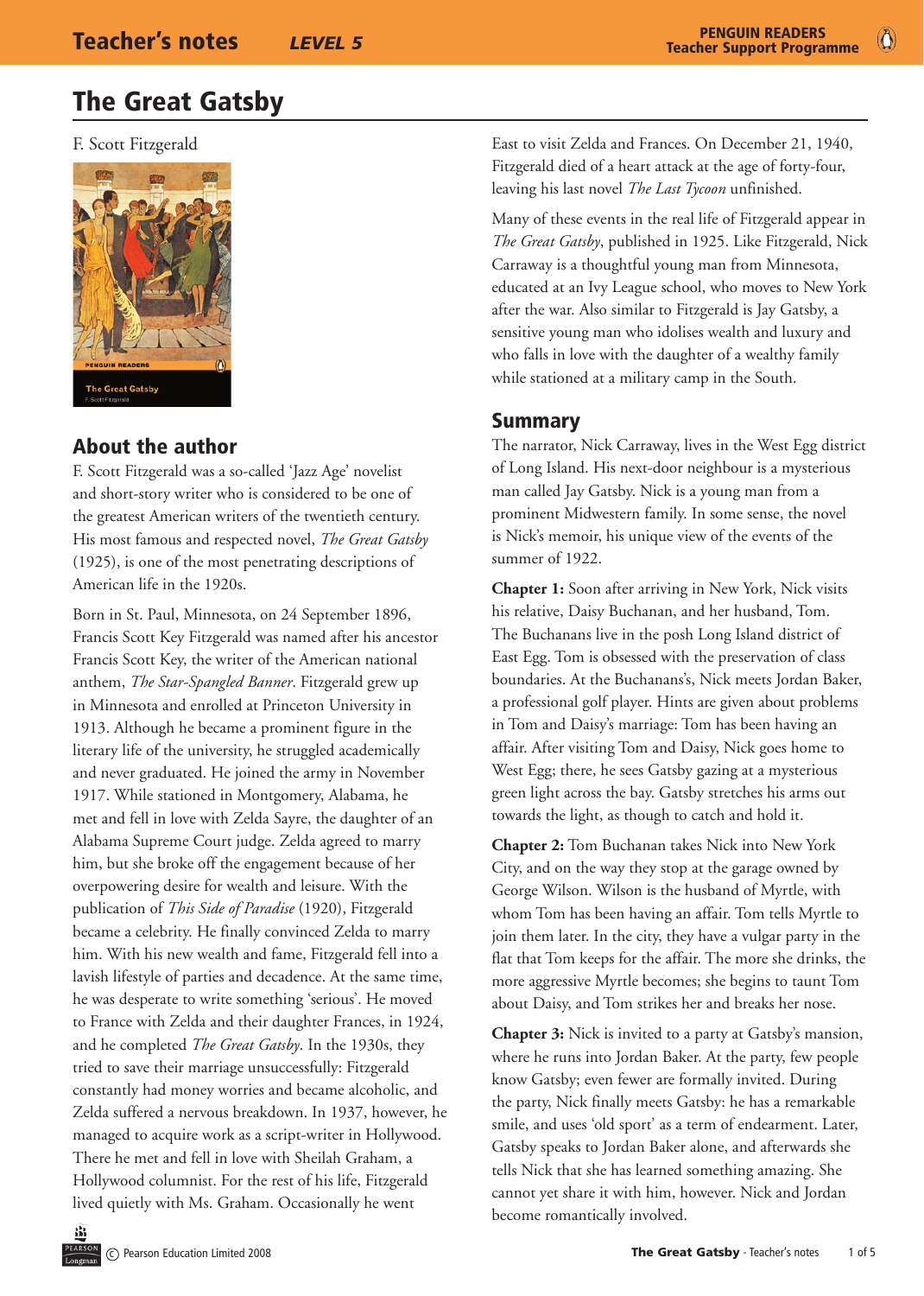$\bullet$ 

# The Great Gatsby

F. Scott Fitzgerald



# About the author

F. Scott Fitzgerald was a so-called 'Jazz Age' novelist and short-story writer who is considered to be one of the greatest American writers of the twentieth century. His most famous and respected novel, *The Great Gatsby*  (1925), is one of the most penetrating descriptions of American life in the 1920s.

Born in St. Paul, Minnesota, on 24 September 1896, Francis Scott Key Fitzgerald was named after his ancestor Francis Scott Key, the writer of the American national anthem, *The Star-Spangled Banner*. Fitzgerald grew up in Minnesota and enrolled at Princeton University in 1913. Although he became a prominent figure in the literary life of the university, he struggled academically and never graduated. He joined the army in November 1917. While stationed in Montgomery, Alabama, he met and fell in love with Zelda Sayre, the daughter of an Alabama Supreme Court judge. Zelda agreed to marry him, but she broke off the engagement because of her overpowering desire for wealth and leisure. With the publication of *This Side of Paradise* (1920), Fitzgerald became a celebrity. He finally convinced Zelda to marry him. With his new wealth and fame, Fitzgerald fell into a lavish lifestyle of parties and decadence. At the same time, he was desperate to write something 'serious'. He moved to France with Zelda and their daughter Frances, in 1924, and he completed *The Great Gatsby*. In the 1930s, they tried to save their marriage unsuccessfully: Fitzgerald constantly had money worries and became alcoholic, and Zelda suffered a nervous breakdown. In 1937, however, he managed to acquire work as a script-writer in Hollywood. There he met and fell in love with Sheilah Graham, a Hollywood columnist. For the rest of his life, Fitzgerald lived quietly with Ms. Graham. Occasionally he went

East to visit Zelda and Frances. On December 21, 1940, Fitzgerald died of a heart attack at the age of forty-four, leaving his last novel *The Last Tycoon* unfinished.

Many of these events in the real life of Fitzgerald appear in *The Great Gatsby*, published in 1925. Like Fitzgerald, Nick Carraway is a thoughtful young man from Minnesota, educated at an Ivy League school, who moves to New York after the war. Also similar to Fitzgerald is Jay Gatsby, a sensitive young man who idolises wealth and luxury and who falls in love with the daughter of a wealthy family while stationed at a military camp in the South.

# Summary

The narrator, Nick Carraway, lives in the West Egg district of Long Island. His next-door neighbour is a mysterious man called Jay Gatsby. Nick is a young man from a prominent Midwestern family. In some sense, the novel is Nick's memoir, his unique view of the events of the summer of 1922.

**Chapter 1:** Soon after arriving in New York, Nick visits his relative, Daisy Buchanan, and her husband, Tom. The Buchanans live in the posh Long Island district of East Egg. Tom is obsessed with the preservation of class boundaries. At the Buchanans's, Nick meets Jordan Baker, a professional golf player. Hints are given about problems in Tom and Daisy's marriage: Tom has been having an affair. After visiting Tom and Daisy, Nick goes home to West Egg; there, he sees Gatsby gazing at a mysterious green light across the bay. Gatsby stretches his arms out towards the light, as though to catch and hold it.

**Chapter 2:** Tom Buchanan takes Nick into New York City, and on the way they stop at the garage owned by George Wilson. Wilson is the husband of Myrtle, with whom Tom has been having an affair. Tom tells Myrtle to join them later. In the city, they have a vulgar party in the flat that Tom keeps for the affair. The more she drinks, the more aggressive Myrtle becomes; she begins to taunt Tom about Daisy, and Tom strikes her and breaks her nose.

**Chapter 3:** Nick is invited to a party at Gatsby's mansion, where he runs into Jordan Baker. At the party, few people know Gatsby; even fewer are formally invited. During the party, Nick finally meets Gatsby: he has a remarkable smile, and uses 'old sport' as a term of endearment. Later, Gatsby speaks to Jordan Baker alone, and afterwards she tells Nick that she has learned something amazing. She cannot yet share it with him, however. Nick and Jordan become romantically involved.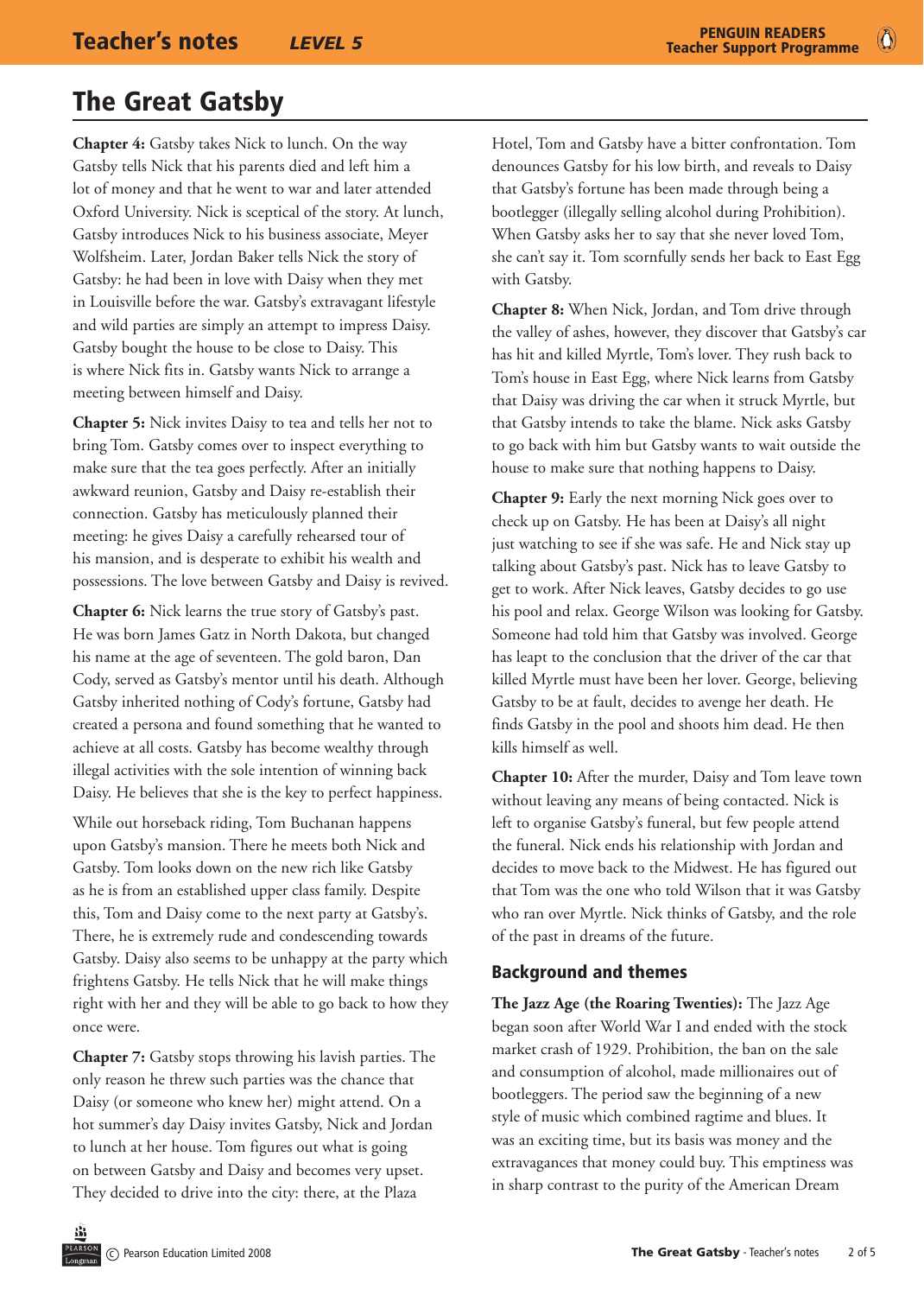$\bullet$ 

# The Great Gatsby

**Chapter 4:** Gatsby takes Nick to lunch. On the way Gatsby tells Nick that his parents died and left him a lot of money and that he went to war and later attended Oxford University. Nick is sceptical of the story. At lunch, Gatsby introduces Nick to his business associate, Meyer Wolfsheim. Later, Jordan Baker tells Nick the story of Gatsby: he had been in love with Daisy when they met in Louisville before the war. Gatsby's extravagant lifestyle and wild parties are simply an attempt to impress Daisy. Gatsby bought the house to be close to Daisy. This is where Nick fits in. Gatsby wants Nick to arrange a meeting between himself and Daisy.

**Chapter 5:** Nick invites Daisy to tea and tells her not to bring Tom. Gatsby comes over to inspect everything to make sure that the tea goes perfectly. After an initially awkward reunion, Gatsby and Daisy re-establish their connection. Gatsby has meticulously planned their meeting: he gives Daisy a carefully rehearsed tour of his mansion, and is desperate to exhibit his wealth and possessions. The love between Gatsby and Daisy is revived.

**Chapter 6:** Nick learns the true story of Gatsby's past. He was born James Gatz in North Dakota, but changed his name at the age of seventeen. The gold baron, Dan Cody, served as Gatsby's mentor until his death. Although Gatsby inherited nothing of Cody's fortune, Gatsby had created a persona and found something that he wanted to achieve at all costs. Gatsby has become wealthy through illegal activities with the sole intention of winning back Daisy. He believes that she is the key to perfect happiness.

While out horseback riding, Tom Buchanan happens upon Gatsby's mansion. There he meets both Nick and Gatsby. Tom looks down on the new rich like Gatsby as he is from an established upper class family. Despite this, Tom and Daisy come to the next party at Gatsby's. There, he is extremely rude and condescending towards Gatsby. Daisy also seems to be unhappy at the party which frightens Gatsby. He tells Nick that he will make things right with her and they will be able to go back to how they once were.

**Chapter 7:** Gatsby stops throwing his lavish parties. The only reason he threw such parties was the chance that Daisy (or someone who knew her) might attend. On a hot summer's day Daisy invites Gatsby, Nick and Jordan to lunch at her house. Tom figures out what is going on between Gatsby and Daisy and becomes very upset. They decided to drive into the city: there, at the Plaza

Hotel, Tom and Gatsby have a bitter confrontation. Tom denounces Gatsby for his low birth, and reveals to Daisy that Gatsby's fortune has been made through being a bootlegger (illegally selling alcohol during Prohibition). When Gatsby asks her to say that she never loved Tom, she can't say it. Tom scornfully sends her back to East Egg with Gatsby.

**Chapter 8:** When Nick, Jordan, and Tom drive through the valley of ashes, however, they discover that Gatsby's car has hit and killed Myrtle, Tom's lover. They rush back to Tom's house in East Egg, where Nick learns from Gatsby that Daisy was driving the car when it struck Myrtle, but that Gatsby intends to take the blame. Nick asks Gatsby to go back with him but Gatsby wants to wait outside the house to make sure that nothing happens to Daisy.

**Chapter 9:** Early the next morning Nick goes over to check up on Gatsby. He has been at Daisy's all night just watching to see if she was safe. He and Nick stay up talking about Gatsby's past. Nick has to leave Gatsby to get to work. After Nick leaves, Gatsby decides to go use his pool and relax. George Wilson was looking for Gatsby. Someone had told him that Gatsby was involved. George has leapt to the conclusion that the driver of the car that killed Myrtle must have been her lover. George, believing Gatsby to be at fault, decides to avenge her death. He finds Gatsby in the pool and shoots him dead. He then kills himself as well.

**Chapter 10:** After the murder, Daisy and Tom leave town without leaving any means of being contacted. Nick is left to organise Gatsby's funeral, but few people attend the funeral. Nick ends his relationship with Jordan and decides to move back to the Midwest. He has figured out that Tom was the one who told Wilson that it was Gatsby who ran over Myrtle. Nick thinks of Gatsby, and the role of the past in dreams of the future.

#### Background and themes

**The Jazz Age (the Roaring Twenties):** The Jazz Age began soon after World War I and ended with the stock market crash of 1929. Prohibition, the ban on the sale and consumption of alcohol, made millionaires out of bootleggers. The period saw the beginning of a new style of music which combined ragtime and blues. It was an exciting time, but its basis was money and the extravagances that money could buy. This emptiness was in sharp contrast to the purity of the American Dream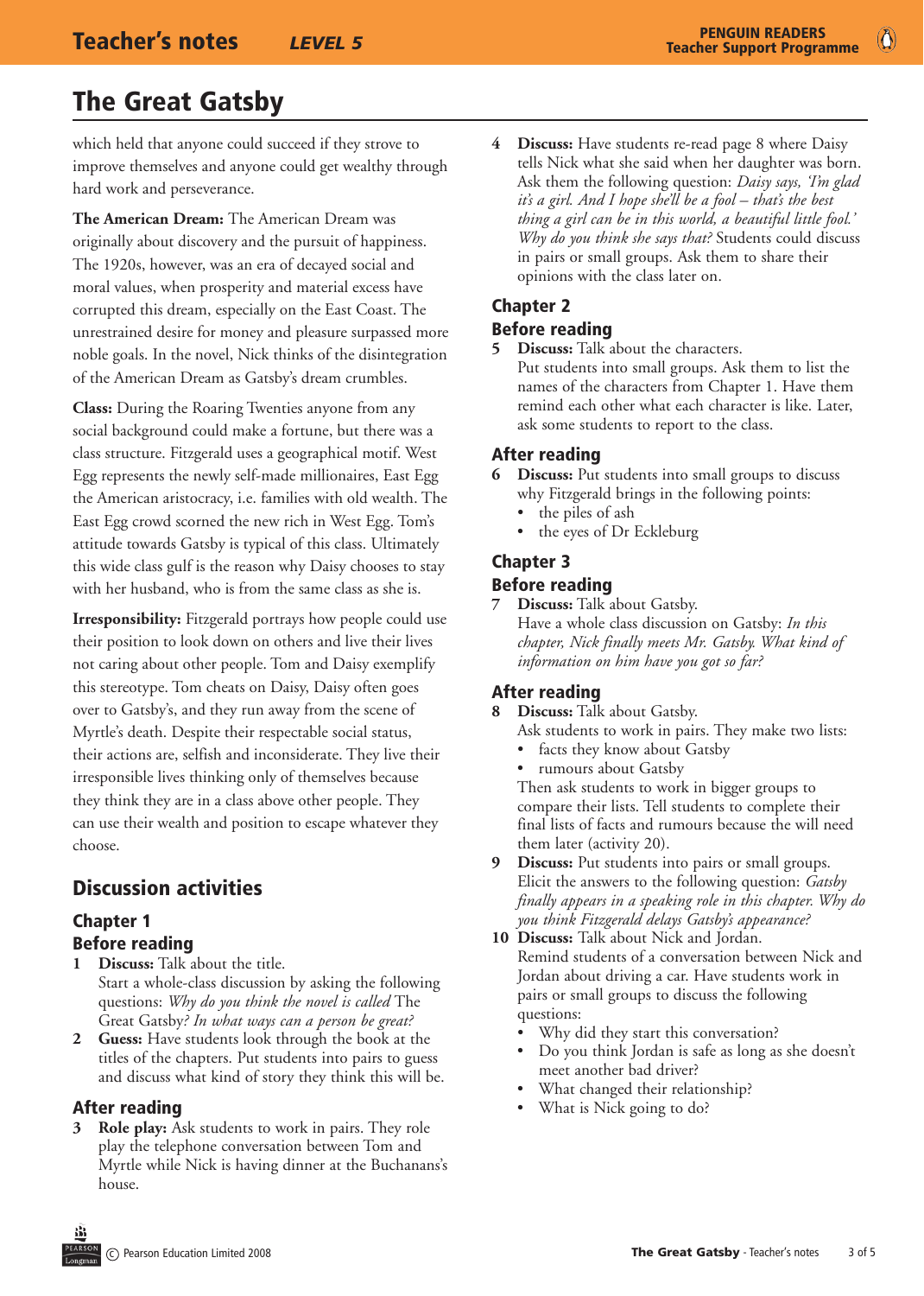# The Great Gatsby

which held that anyone could succeed if they strove to improve themselves and anyone could get wealthy through hard work and perseverance.

**The American Dream:** The American Dream was originally about discovery and the pursuit of happiness. The 1920s, however, was an era of decayed social and moral values, when prosperity and material excess have corrupted this dream, especially on the East Coast. The unrestrained desire for money and pleasure surpassed more noble goals. In the novel, Nick thinks of the disintegration of the American Dream as Gatsby's dream crumbles.

**Class:** During the Roaring Twenties anyone from any social background could make a fortune, but there was a class structure. Fitzgerald uses a geographical motif. West Egg represents the newly self-made millionaires, East Egg the American aristocracy, i.e. families with old wealth. The East Egg crowd scorned the new rich in West Egg. Tom's attitude towards Gatsby is typical of this class. Ultimately this wide class gulf is the reason why Daisy chooses to stay with her husband, who is from the same class as she is.

**Irresponsibility:** Fitzgerald portrays how people could use their position to look down on others and live their lives not caring about other people. Tom and Daisy exemplify this stereotype. Tom cheats on Daisy, Daisy often goes over to Gatsby's, and they run away from the scene of Myrtle's death. Despite their respectable social status, their actions are, selfish and inconsiderate. They live their irresponsible lives thinking only of themselves because they think they are in a class above other people. They can use their wealth and position to escape whatever they choose.

# Discussion activities

## Chapter 1 Before reading

- **1 Discuss:** Talk about the title. Start a whole-class discussion by asking the following questions: *Why do you think the novel is called* The Great Gatsby*? In what ways can a person be great?*
- **2 Guess:** Have students look through the book at the titles of the chapters. Put students into pairs to guess and discuss what kind of story they think this will be.

## After reading

**3 Role play:** Ask students to work in pairs. They role play the telephone conversation between Tom and Myrtle while Nick is having dinner at the Buchanans's house.

**4 Discuss:** Have students re-read page 8 where Daisy tells Nick what she said when her daughter was born. Ask them the following question: *Daisy says, 'I'm glad it's a girl. And I hope she'll be a fool – that's the best thing a girl can be in this world, a beautiful little fool.' Why do you think she says that?* Students could discuss in pairs or small groups. Ask them to share their opinions with the class later on.

# Chapter 2

#### Before reading

**5 Discuss:** Talk about the characters. Put students into small groups. Ask them to list the names of the characters from Chapter 1. Have them remind each other what each character is like. Later,

ask some students to report to the class.

## After reading

- **6 Discuss:** Put students into small groups to discuss why Fitzgerald brings in the following points:
	- the piles of ash
	- the eyes of Dr Eckleburg

## Chapter 3 Before reading

**7 Discuss:** Talk about Gatsby. Have a whole class discussion on Gatsby: *In this chapter, Nick finally meets Mr. Gatsby. What kind of information on him have you got so far?*

# After reading

- **8 Discuss:** Talk about Gatsby.
	- Ask students to work in pairs. They make two lists: facts they know about Gatsby
	- rumours about Gatsby

Then ask students to work in bigger groups to compare their lists. Tell students to complete their final lists of facts and rumours because the will need them later (activity 20).

- **9 Discuss:** Put students into pairs or small groups. Elicit the answers to the following question: *Gatsby finally appears in a speaking role in this chapter. Why do you think Fitzgerald delays Gatsby's appearance?*
- **10 Discuss:** Talk about Nick and Jordan. Remind students of a conversation between Nick and Jordan about driving a car. Have students work in pairs or small groups to discuss the following questions:
	- Why did they start this conversation?
	- Do you think Jordan is safe as long as she doesn't meet another bad driver?
	- What changed their relationship?
	- What is Nick going to do?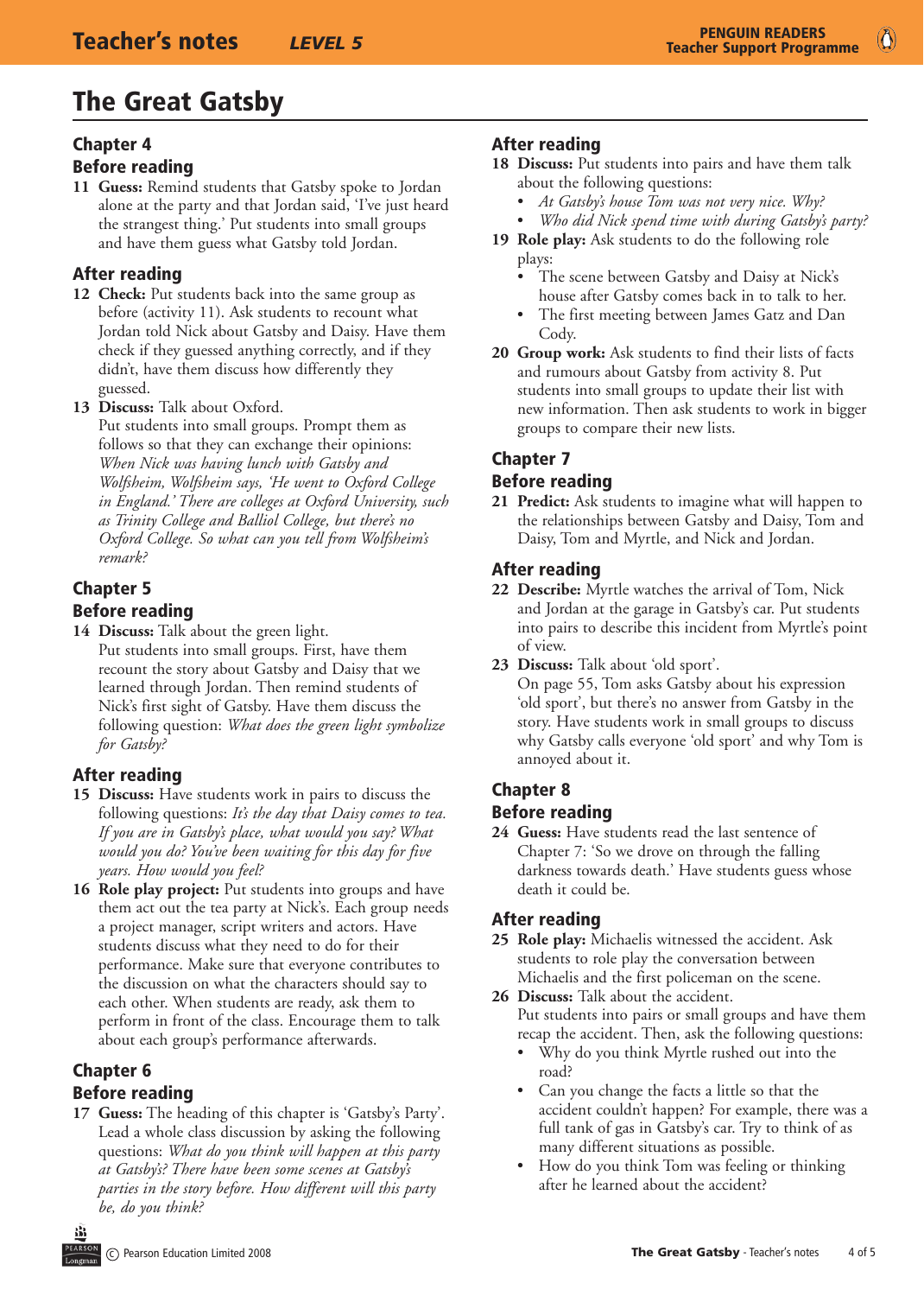# The Great Gatsby

#### Chapter 4

#### Before reading

**11 Guess:** Remind students that Gatsby spoke to Jordan alone at the party and that Jordan said, 'I've just heard the strangest thing.' Put students into small groups and have them guess what Gatsby told Jordan.

## After reading

- **12 Check:** Put students back into the same group as before (activity 11). Ask students to recount what Jordan told Nick about Gatsby and Daisy. Have them check if they guessed anything correctly, and if they didn't, have them discuss how differently they guessed.
- **13 Discuss:** Talk about Oxford.

Put students into small groups. Prompt them as follows so that they can exchange their opinions: *When Nick was having lunch with Gatsby and Wolfsheim, Wolfsheim says, 'He went to Oxford College in England.' There are colleges at Oxford University, such as Trinity College and Balliol College, but there's no Oxford College. So what can you tell from Wolfsheim's remark?*

# Chapter 5 Before reading

**14 Discuss:** Talk about the green light. Put students into small groups. First, have them recount the story about Gatsby and Daisy that we learned through Jordan. Then remind students of Nick's first sight of Gatsby. Have them discuss the following question: *What does the green light symbolize for Gatsby?*

# After reading

- **15 Discuss:** Have students work in pairs to discuss the following questions: *It's the day that Daisy comes to tea. If you are in Gatsby's place, what would you say? What would you do? You've been waiting for this day for five years. How would you feel?*
- **16 Role play project:** Put students into groups and have them act out the tea party at Nick's. Each group needs a project manager, script writers and actors. Have students discuss what they need to do for their performance. Make sure that everyone contributes to the discussion on what the characters should say to each other. When students are ready, ask them to perform in front of the class. Encourage them to talk about each group's performance afterwards.

# Chapter 6

# Before reading

**17 Guess:** The heading of this chapter is 'Gatsby's Party'. Lead a whole class discussion by asking the following questions: *What do you think will happen at this party at Gatsby's? There have been some scenes at Gatsby's parties in the story before. How different will this party be, do you think?*

# After reading

- **18 Discuss:** Put students into pairs and have them talk about the following questions:
	- *At Gatsby's house Tom was not very nice. Why?*
	- *Who did Nick spend time with during Gatsby's party?*
- **19 Role play:** Ask students to do the following role plays:
	- The scene between Gatsby and Daisy at Nick's house after Gatsby comes back in to talk to her.
	- The first meeting between James Gatz and Dan Cody.
- **20 Group work:** Ask students to find their lists of facts and rumours about Gatsby from activity 8. Put students into small groups to update their list with new information. Then ask students to work in bigger groups to compare their new lists.

# Chapter 7

# Before reading

**21 Predict:** Ask students to imagine what will happen to the relationships between Gatsby and Daisy, Tom and Daisy, Tom and Myrtle, and Nick and Jordan.

# After reading

- **22 Describe:** Myrtle watches the arrival of Tom, Nick and Jordan at the garage in Gatsby's car. Put students into pairs to describe this incident from Myrtle's point of view.
- **23 Discuss:** Talk about 'old sport'.

On page 55, Tom asks Gatsby about his expression 'old sport', but there's no answer from Gatsby in the story. Have students work in small groups to discuss why Gatsby calls everyone 'old sport' and why Tom is annoyed about it.

# Chapter 8

## Before reading

**24 Guess:** Have students read the last sentence of Chapter 7: 'So we drove on through the falling darkness towards death.' Have students guess whose death it could be.

# After reading

- **25 Role play:** Michaelis witnessed the accident. Ask students to role play the conversation between Michaelis and the first policeman on the scene.
- **26 Discuss:** Talk about the accident. Put students into pairs or small groups and have them recap the accident. Then, ask the following questions:
	- Why do you think Myrtle rushed out into the road?
	- Can you change the facts a little so that the accident couldn't happen? For example, there was a full tank of gas in Gatsby's car. Try to think of as many different situations as possible.
	- How do you think Tom was feeling or thinking after he learned about the accident?